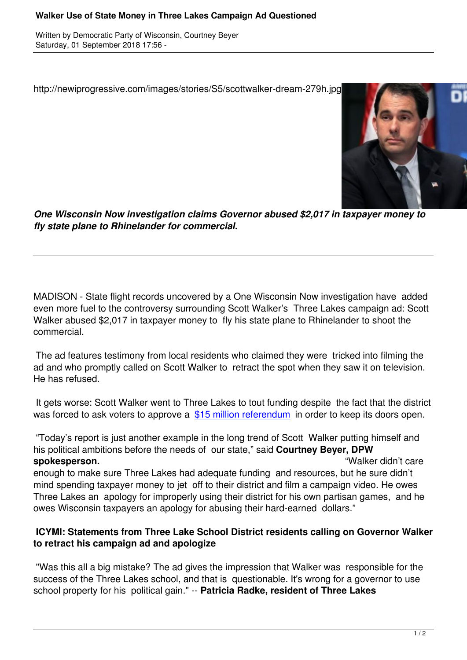http://newiprogressive.com/images/stories/S5/scottwalker-dream-279h.jpg



*One Wisconsin Now investigation claims Governor abused \$2,017 in taxpayer money to fly state plane to Rhinelander for commercial.*

MADISON - State flight records uncovered by a One Wisconsin Now investigation have added even more fuel to the controversy surrounding Scott Walker's Three Lakes campaign ad: Scott Walker abused \$2,017 in taxpayer money to fly his state plane to Rhinelander to shoot the commercial.

 The ad features testimony from local residents who claimed they were tricked into filming the ad and who promptly called on Scott Walker to retract the spot when they saw it on television. He has refused.

 It gets worse: Scott Walker went to Three Lakes to tout funding despite the fact that the district was forced to ask voters to approve a  $$15$  million referendum in order to keep its doors open.

 "Today's report is just another example in the long trend of Scott Walker putting himself and his political ambitions before the need[s of our state," said](https://wisdems.us1.list-manage.com/track/click?u=5fdce0a26f89c28febc13998d&id=ac19e131f0&e=c8d9c6b5a0) **Courtney Beyer, DPW spokesperson.** "Walker didn't care enough to make sure Three Lakes had adequate funding and resources, but he sure didn't mind spending taxpayer money to jet off to their district and film a campaign video. He owes Three Lakes an apology for improperly using their district for his own partisan games, and he owes Wisconsin taxpayers an apology for abusing their hard-earned dollars."

## **ICYMI: Statements from Three Lake School District residents calling on Governor Walker to retract his campaign ad and apologize**

 "Was this all a big mistake? The ad gives the impression that Walker was responsible for the success of the Three Lakes school, and that is questionable. It's wrong for a governor to use school property for his political gain." -- **Patricia Radke, resident of Three Lakes**